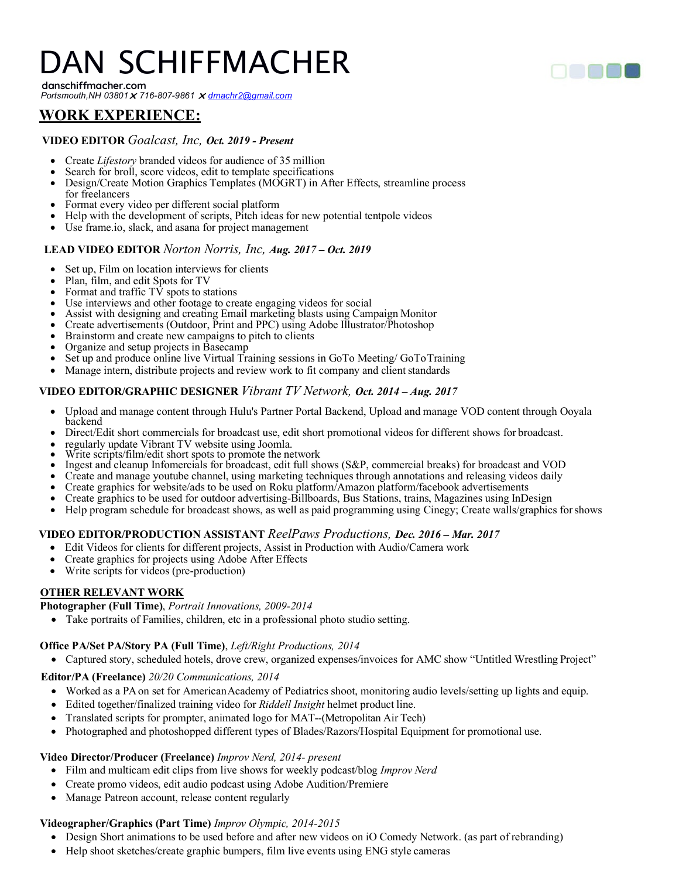# DAN SCHIFFMACHER

**danschiffmacher.com** *Portsmouth,NH 03801 716-807-9861 [dmachr2@gmail.com](mailto:dmachr2@gmail.com)*

## **WORK EXPERIENCE:**

#### **VIDEO EDITOR** *Goalcast, Inc, Oct. 2019 - Present*

- 
- Create *Lifestory* branded videos for audience of 35 million<br>• Search for broll, score videos, edit to template specifications
- Design/Create Motion Graphics Templates (MOGRT) in After Effects, streamline process for freelancers
- Format every video per different social platform
- Help with the development of scripts, Pitch ideas for new potential tentpole videos
- Use frame.io, slack, and asana for project management

#### **LEAD VIDEO EDITOR** *Norton Norris, Inc, Aug. 2017 – Oct. 2019*

- Set up, Film on location interviews for clients<br>Plan, film, and edit Spots for TV
- 
- 
- Plan, film, and edit Spots for TV<br>• Format and traffic TV spots to stations<br>• Use interviews and other footage to create engaging videos for social
- Assist with designing and creating Email marketing blasts using Campaign Monitor<br>Create advertisements (Outdoor, Print and PPC) using Adobe Illustrator/Photoshop
- 
- 
- 
- Brainstorm and create new campaigns to pitch to clients<br>• Organize and setup projects in Basecamp<br>• Set up and produce online live Virtual Training sessions in GoTo Meeting/GoToTraining
- Manage intern, distribute projects and review work to fit company and client standards

#### **VIDEO EDITOR/GRAPHIC DESIGNER** *Vibrant TV Network, Oct. 2014 – Aug. 2017*

- Upload and manage content through Hulu's Partner Portal Backend, Upload and manage VOD content through Ooyala
- Direct/Edit short commercials for broadcast use, edit short promotional videos for different shows for broadcast.<br>• regularly update Vibrant TV website using Joomla.
- 
- 
- Write scripts/film/edit short spots to promote the network Ingest and cleanup Infomercials for broadcast and VOD<br>• Ingest and cleanup Infomercials for broadcast, edit full shows (S&P, commercial breaks) for broadcast a
- Create and manage youtube channel, using marketing techniques through annotations and releasing videos daily<br>Create graphics for website/ads to be used on Roku platform/Amazon platform/facebook advertisements
- 
- Create graphics to be used for outdoor advertising-Billboards, Bus Stations, trains, Magazines using InDesign
- Help program schedule for broadcast shows, as well as paid programming using Cinegy; Create walls/graphics forshows

#### **VIDEO EDITOR/PRODUCTION ASSISTANT** *ReelPaws Productions, Dec. 2016 – Mar. 2017*

- Edit Videos for clients for different projects, Assist in Production with Audio/Camera work
- Create graphics for projects using Adobe After Effects
- Write scripts for videos (pre-production)

#### **OTHER RELEVANT WORK**

#### **Photographer (Full Time)**, *Portrait Innovations, 2009-2014*

• Take portraits of Families, children, etc in a professional photo studio setting.

#### **Office PA/Set PA/Story PA (Full Time)**, *Left/Right Productions, 2014*

• Captured story, scheduled hotels, drove crew, organized expenses/invoices for AMC show "Untitled Wrestling Project"

#### **Editor/PA (Freelance)** *20/20 Communications, 2014*

- Worked as a PA on set for American Academy of Pediatrics shoot, monitoring audio levels/setting up lights and equip.
- Edited together/finalized training video for *Riddell Insight* helmet product line.
- Translated scripts for prompter, animated logo for MAT--(Metropolitan Air Tech)
- Photographed and photoshopped different types of Blades/Razors/Hospital Equipment for promotional use.

#### **Video Director/Producer (Freelance)** *Improv Nerd, 2014- present*

- Film and multicam edit clips from live shows for weekly podcast/blog *Improv Nerd*
- Create promo videos, edit audio podcast using Adobe Audition/Premiere
- Manage Patreon account, release content regularly

#### **Videographer/Graphics (Part Time)** *Improv Olympic, 2014-2015*

- Design Short animations to be used before and after new videos on iO Comedy Network. (as part of rebranding)
- Help shoot sketches/create graphic bumpers, film live events using ENG style cameras